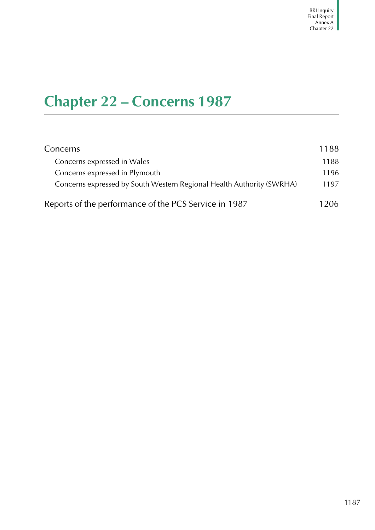# <span id="page-0-0"></span>**Chapter 22 – Concerns 1987**

| Concerns                                                              | 1188 |
|-----------------------------------------------------------------------|------|
| Concerns expressed in Wales                                           | 1188 |
| Concerns expressed in Plymouth                                        | 1196 |
| Concerns expressed by South Western Regional Health Authority (SWRHA) | 1197 |
| Reports of the performance of the PCS Service in 1987                 | 1206 |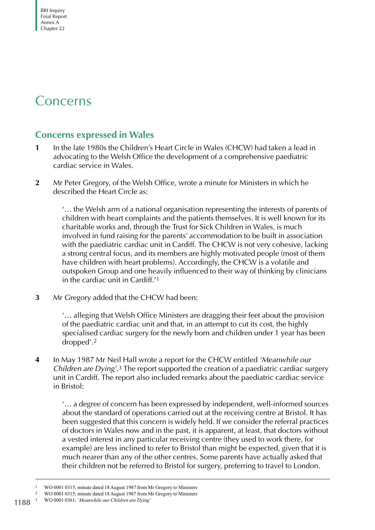### <span id="page-1-1"></span>Concerns

### <span id="page-1-0"></span>**Concerns expressed in Wales**

- **1** In the late 1980s the Children's Heart Circle in Wales (CHCW) had taken a lead in advocating to the Welsh Office the development of a comprehensive paediatric cardiac service in Wales.
- **2** Mr Peter Gregory, of the Welsh Office, wrote a minute for Ministers in which he described the Heart Circle as:

'… the Welsh arm of a national organisation representing the interests of parents of children with heart complaints and the patients themselves. It is well known for its charitable works and, through the Trust for Sick Children in Wales, is much involved in fund raising for the parents' accommodation to be built in association with the paediatric cardiac unit in Cardiff. The CHCW is not very cohesive, lacking a strong central focus, and its members are highly motivated people (most of them have children with heart problems). Accordingly, the CHCW is a volatile and outspoken Group and one heavily influenced to their way of thinking by clinicians in the cardiac unit in Cardiff.'1

**3** Mr Gregory added that the CHCW had been:

'… alleging that Welsh Office Ministers are dragging their feet about the provision of the paediatric cardiac unit and that, in an attempt to cut its cost, the highly specialised cardiac surgery for the newly born and children under 1 year has been dropped'.2

**4** In May 1987 Mr Neil Hall wrote a report for the CHCW entitled 'Meanwhile our Children are Dying'.3 The report supported the creation of a paediatric cardiac surgery unit in Cardiff. The report also included remarks about the paediatric cardiac service in Bristol:

'… a degree of concern has been expressed by independent, well-informed sources about the standard of operations carried out at the receiving centre at Bristol. It has been suggested that this concern is widely held. If we consider the referral practices of doctors in Wales now and in the past, it is apparent, at least, that doctors without a vested interest in any particular receiving centre (they used to work there, for example) are less inclined to refer to Bristol than might be expected, given that it is much nearer than any of the other centres. Some parents have actually asked that their children not be referred to Bristol for surgery, preferring to travel to London.

WO 0001 0315; minute dated 18 August 1987 from Mr Gregory to Ministers

<sup>2</sup> WO 0001 0315; minute dated 18 August 1987 from Mr Gregory to Ministers

<sup>3</sup> WO 0001 0361; *'Meanwhile our Children are Dying'*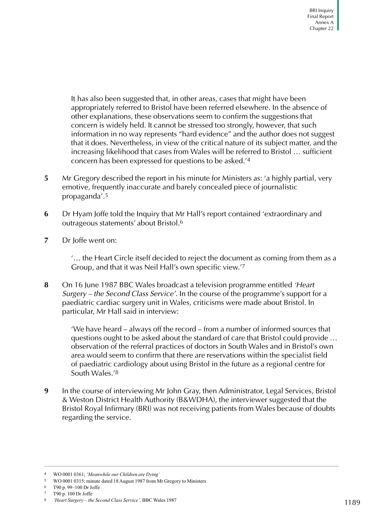It has also been suggested that, in other areas, cases that might have been appropriately referred to Bristol have been referred elsewhere. In the absence of other explanations, these observations seem to confirm the suggestions that concern is widely held. It cannot be stressed too strongly, however, that such information in no way represents "hard evidence" and the author does not suggest that it does. Nevertheless, in view of the critical nature of its subject matter, and the increasing likelihood that cases from Wales will be referred to Bristol … sufficient concern has been expressed for questions to be asked.'4

- **5** Mr Gregory described the report in his minute for Ministers as: 'a highly partial, very emotive, frequently inaccurate and barely concealed piece of journalistic propaganda'.5
- **6** Dr Hyam Joffe told the Inquiry that Mr Hall's report contained 'extraordinary and outrageous statements' about Bristol.6
- **7** Dr Joffe went on:

'… the Heart Circle itself decided to reject the document as coming from them as a Group, and that it was Neil Hall's own specific view.'7

**8** On 16 June 1987 BBC Wales broadcast a television programme entitled 'Heart Surgery – the Second Class Service'. In the course of the programme's support for a paediatric cardiac surgery unit in Wales, criticisms were made about Bristol. In particular, Mr Hall said in interview:

'We have heard – always off the record – from a number of informed sources that questions ought to be asked about the standard of care that Bristol could provide … observation of the referral practices of doctors in South Wales and in Bristol's own area would seem to confirm that there are reservations within the specialist field of paediatric cardiology about using Bristol in the future as a regional centre for South Wales.'8

**9** In the course of interviewing Mr John Gray, then Administrator, Legal Services, Bristol & Weston District Health Authority (B&WDHA), the interviewer suggested that the Bristol Royal Infirmary (BRI) was not receiving patients from Wales because of doubts regarding the service.

<sup>4</sup> WO 0001 0361; *'Meanwhile our Children are Dying'*

<sup>5</sup> WO 0001 0315; minute dated 18 August 1987 from Mr Gregory to Ministers

<sup>6</sup> T90 p. 99–100 Dr Joffe

<sup>7</sup> T90 p. 100 Dr Joffe

<sup>8</sup> *'Heart Surgery – the Second Class Service',* BBC Wales 1987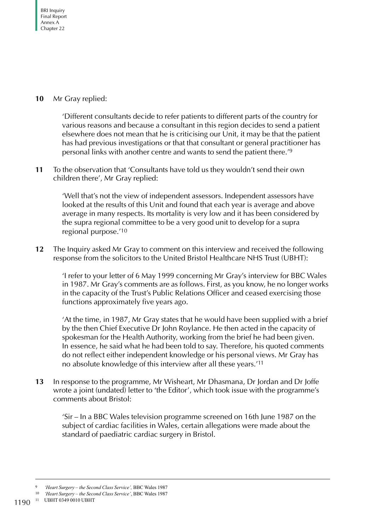#### **10** Mr Gray replied:

'Different consultants decide to refer patients to different parts of the country for various reasons and because a consultant in this region decides to send a patient elsewhere does not mean that he is criticising our Unit, it may be that the patient has had previous investigations or that that consultant or general practitioner has personal links with another centre and wants to send the patient there.'9

**11** To the observation that 'Consultants have told us they wouldn't send their own children there', Mr Gray replied:

'Well that's not the view of independent assessors. Independent assessors have looked at the results of this Unit and found that each year is average and above average in many respects. Its mortality is very low and it has been considered by the supra regional committee to be a very good unit to develop for a supra regional purpose.'10

**12** The Inquiry asked Mr Gray to comment on this interview and received the following response from the solicitors to the United Bristol Healthcare NHS Trust (UBHT):

'I refer to your letter of 6 May 1999 concerning Mr Gray's interview for BBC Wales in 1987. Mr Gray's comments are as follows. First, as you know, he no longer works in the capacity of the Trust's Public Relations Officer and ceased exercising those functions approximately five years ago.

'At the time, in 1987, Mr Gray states that he would have been supplied with a brief by the then Chief Executive Dr John Roylance. He then acted in the capacity of spokesman for the Health Authority, working from the brief he had been given. In essence, he said what he had been told to say. Therefore, his quoted comments do not reflect either independent knowledge or his personal views. Mr Gray has no absolute knowledge of this interview after all these years.'11

**13** In response to the programme, Mr Wisheart, Mr Dhasmana, Dr Jordan and Dr Joffe wrote a joint (undated) letter to 'the Editor', which took issue with the programme's comments about Bristol:

'Sir – In a BBC Wales television programme screened on 16th June 1987 on the subject of cardiac facilities in Wales, certain allegations were made about the standard of paediatric cardiac surgery in Bristol.

11 UBHT 0349 0010 UBHT

1190

<sup>9</sup> *'Heart Surgery – the Second Class Service',* BBC Wales 1987

<sup>10</sup> *'Heart Surgery – the Second Class Service'*, BBC Wales 1987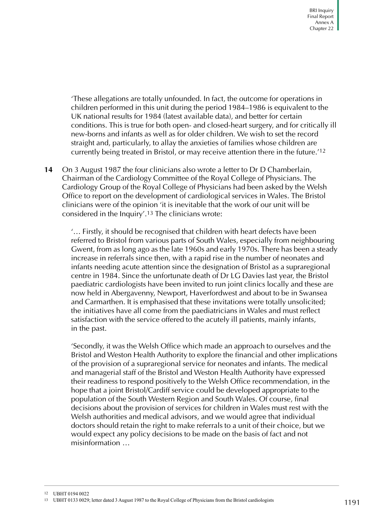'These allegations are totally unfounded. In fact, the outcome for operations in children performed in this unit during the period 1984–1986 is equivalent to the UK national results for 1984 (latest available data), and better for certain conditions. This is true for both open- and closed-heart surgery, and for critically ill new-borns and infants as well as for older children. We wish to set the record straight and, particularly, to allay the anxieties of families whose children are currently being treated in Bristol, or may receive attention there in the future.'12

**14** On 3 August 1987 the four clinicians also wrote a letter to Dr D Chamberlain, Chairman of the Cardiology Committee of the Royal College of Physicians. The Cardiology Group of the Royal College of Physicians had been asked by the Welsh Office to report on the development of cardiological services in Wales. The Bristol clinicians were of the opinion 'it is inevitable that the work of our unit will be considered in the Inquiry'.13 The clinicians wrote:

'… Firstly, it should be recognised that children with heart defects have been referred to Bristol from various parts of South Wales, especially from neighbouring Gwent, from as long ago as the late 1960s and early 1970s. There has been a steady increase in referrals since then, with a rapid rise in the number of neonates and infants needing acute attention since the designation of Bristol as a supraregional centre in 1984. Since the unfortunate death of Dr LG Davies last year, the Bristol paediatric cardiologists have been invited to run joint clinics locally and these are now held in Abergavenny, Newport, Haverfordwest and about to be in Swansea and Carmarthen. It is emphasised that these invitations were totally unsolicited; the initiatives have all come from the paediatricians in Wales and must reflect satisfaction with the service offered to the acutely ill patients, mainly infants, in the past.

'Secondly, it was the Welsh Office which made an approach to ourselves and the Bristol and Weston Health Authority to explore the financial and other implications of the provision of a supraregional service for neonates and infants. The medical and managerial staff of the Bristol and Weston Health Authority have expressed their readiness to respond positively to the Welsh Office recommendation, in the hope that a joint Bristol/Cardiff service could be developed appropriate to the population of the South Western Region and South Wales. Of course, final decisions about the provision of services for children in Wales must rest with the Welsh authorities and medical advisors, and we would agree that individual doctors should retain the right to make referrals to a unit of their choice, but we would expect any policy decisions to be made on the basis of fact and not misinformation …

12 UBHT 0194 0022 13 UBHT 0133 0029; letter dated 3 August 1987 to the Royal College of Physicians from the Bristol cardiologists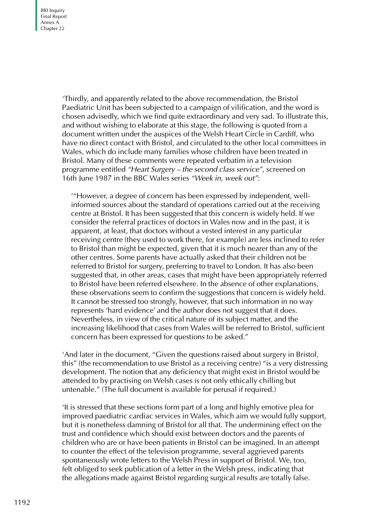'Thirdly, and apparently related to the above recommendation, the Bristol Paediatric Unit has been subjected to a campaign of vilification, and the word is chosen advisedly, which we find quite extraordinary and very sad. To illustrate this, and without wishing to elaborate at this stage, the following is quoted from a document written under the auspices of the Welsh Heart Circle in Cardiff, who have no direct contact with Bristol, and circulated to the other local committees in Wales, which do include many families whose children have been treated in Bristol. Many of these comments were repeated verbatim in a television programme entitled "Heart Surgery – the second class service", screened on 16th June 1987 in the BBC Wales series "Week in, week out":

'"However, a degree of concern has been expressed by independent, wellinformed sources about the standard of operations carried out at the receiving centre at Bristol. It has been suggested that this concern is widely held. If we consider the referral practices of doctors in Wales now and in the past, it is apparent, at least, that doctors without a vested interest in any particular receiving centre (they used to work there, for example) are less inclined to refer to Bristol than might be expected, given that it is much nearer than any of the other centres. Some parents have actually asked that their children not be referred to Bristol for surgery, preferring to travel to London. It has also been suggested that, in other areas, cases that might have been appropriately referred to Bristol have been referred elsewhere. In the absence of other explanations, these observations seem to confirm the suggestions that concern is widely held. It cannot be stressed too strongly, however, that such information in no way represents 'hard evidence' and the author does not suggest that it does. Nevertheless, in view of the critical nature of its subject matter, and the increasing likelihood that cases from Wales will be referred to Bristol, sufficient concern has been expressed for questions to be asked."

'And later in the document, "Given the questions raised about surgery in Bristol, this" (the recommendation to use Bristol as a receiving centre) "is a very distressing development. The notion that any deficiency that might exist in Bristol would be attended to by practising on Welsh cases is not only ethically chilling but untenable." (The full document is available for perusal if required.)

'It is stressed that these sections form part of a long and highly emotive plea for improved paediatric cardiac services in Wales, which aim we would fully support, but it is nonetheless damning of Bristol for all that. The undermining effect on the trust and confidence which should exist between doctors and the parents of children who are or have been patients in Bristol can be imagined. In an attempt to counter the effect of the television programme, several aggrieved parents spontaneously wrote letters to the Welsh Press in support of Bristol. We, too, felt obliged to seek publication of a letter in the Welsh press, indicating that the allegations made against Bristol regarding surgical results are totally false.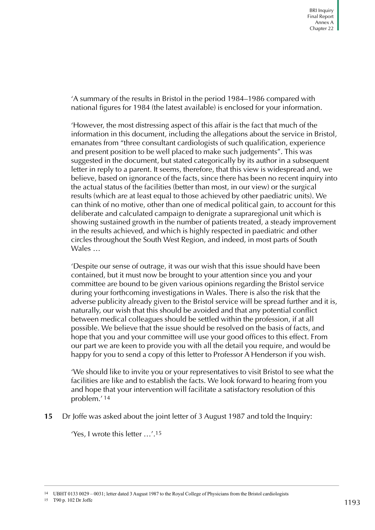'A summary of the results in Bristol in the period 1984–1986 compared with national figures for 1984 (the latest available) is enclosed for your information.

'However, the most distressing aspect of this affair is the fact that much of the information in this document, including the allegations about the service in Bristol, emanates from "three consultant cardiologists of such qualification, experience and present position to be well placed to make such judgements". This was suggested in the document, but stated categorically by its author in a subsequent letter in reply to a parent. It seems, therefore, that this view is widespread and, we believe, based on ignorance of the facts, since there has been no recent inquiry into the actual status of the facilities (better than most, in our view) or the surgical results (which are at least equal to those achieved by other paediatric units). We can think of no motive, other than one of medical political gain, to account for this deliberate and calculated campaign to denigrate a supraregional unit which is showing sustained growth in the number of patients treated, a steady improvement in the results achieved, and which is highly respected in paediatric and other circles throughout the South West Region, and indeed, in most parts of South Wales …

'Despite our sense of outrage, it was our wish that this issue should have been contained, but it must now be brought to your attention since you and your committee are bound to be given various opinions regarding the Bristol service during your forthcoming investigations in Wales. There is also the risk that the adverse publicity already given to the Bristol service will be spread further and it is, naturally, our wish that this should be avoided and that any potential conflict between medical colleagues should be settled within the profession, if at all possible. We believe that the issue should be resolved on the basis of facts, and hope that you and your committee will use your good offices to this effect. From our part we are keen to provide you with all the detail you require, and would be happy for you to send a copy of this letter to Professor A Henderson if you wish.

'We should like to invite you or your representatives to visit Bristol to see what the facilities are like and to establish the facts. We look forward to hearing from you and hope that your intervention will facilitate a satisfactory resolution of this problem.' 14

**15** Dr Joffe was asked about the joint letter of 3 August 1987 and told the Inquiry:

'Yes, I wrote this letter …'.15

14 UBHT 0133 0029 – 0031; letter dated 3 August 1987 to the Royal College of Physicians from the Bristol cardiologists

15 T90 p. 102 Dr Joffe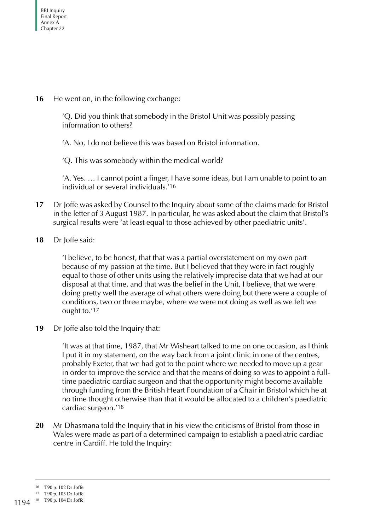**16** He went on, in the following exchange:

'Q. Did you think that somebody in the Bristol Unit was possibly passing information to others?

'A. No, I do not believe this was based on Bristol information.

'Q. This was somebody within the medical world?

'A. Yes. … I cannot point a finger, I have some ideas, but I am unable to point to an individual or several individuals.'16

- **17** Dr Joffe was asked by Counsel to the Inquiry about some of the claims made for Bristol in the letter of 3 August 1987. In particular, he was asked about the claim that Bristol's surgical results were 'at least equal to those achieved by other paediatric units'.
- **18** Dr Joffe said:

'I believe, to be honest, that that was a partial overstatement on my own part because of my passion at the time. But I believed that they were in fact roughly equal to those of other units using the relatively imprecise data that we had at our disposal at that time, and that was the belief in the Unit, I believe, that we were doing pretty well the average of what others were doing but there were a couple of conditions, two or three maybe, where we were not doing as well as we felt we ought to.'17

**19** Dr Joffe also told the Inquiry that:

'It was at that time, 1987, that Mr Wisheart talked to me on one occasion, as I think I put it in my statement, on the way back from a joint clinic in one of the centres, probably Exeter, that we had got to the point where we needed to move up a gear in order to improve the service and that the means of doing so was to appoint a fulltime paediatric cardiac surgeon and that the opportunity might become available through funding from the British Heart Foundation of a Chair in Bristol which he at no time thought otherwise than that it would be allocated to a children's paediatric cardiac surgeon.'18

**20** Mr Dhasmana told the Inquiry that in his view the criticisms of Bristol from those in Wales were made as part of a determined campaign to establish a paediatric cardiac centre in Cardiff. He told the Inquiry:

<sup>16</sup> T90 p. 102 Dr Joffe

<sup>17</sup> T90 p. 103 Dr Joffe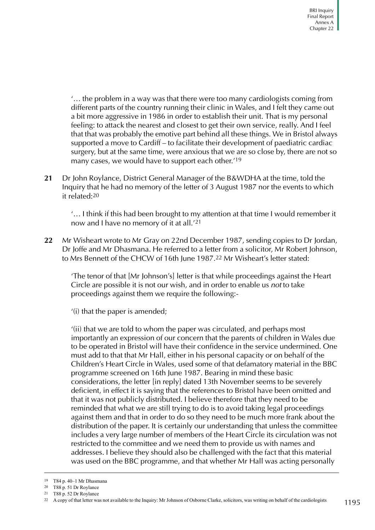'… the problem in a way was that there were too many cardiologists coming from different parts of the country running their clinic in Wales, and I felt they came out a bit more aggressive in 1986 in order to establish their unit. That is my personal feeling: to attack the nearest and closest to get their own service, really. And I feel that that was probably the emotive part behind all these things. We in Bristol always supported a move to Cardiff – to facilitate their development of paediatric cardiac surgery, but at the same time, were anxious that we are so close by, there are not so many cases, we would have to support each other.<sup>'19</sup>

**21** Dr John Roylance, District General Manager of the B&WDHA at the time, told the Inquiry that he had no memory of the letter of 3 August 1987 nor the events to which it related:20

'… I think if this had been brought to my attention at that time I would remember it now and I have no memory of it at all.'21

**22** Mr Wisheart wrote to Mr Gray on 22nd December 1987, sending copies to Dr Jordan, Dr Joffe and Mr Dhasmana. He referred to a letter from a solicitor, Mr Robert Johnson, to Mrs Bennett of the CHCW of 16th June 1987.22 Mr Wisheart's letter stated:

'The tenor of that [Mr Johnson's] letter is that while proceedings against the Heart Circle are possible it is not our wish, and in order to enable us not to take proceedings against them we require the following:-

'(i) that the paper is amended;

'(ii) that we are told to whom the paper was circulated, and perhaps most importantly an expression of our concern that the parents of children in Wales due to be operated in Bristol will have their confidence in the service undermined. One must add to that that Mr Hall, either in his personal capacity or on behalf of the Children's Heart Circle in Wales, used some of that defamatory material in the BBC programme screened on 16th June 1987. Bearing in mind these basic considerations, the letter [in reply] dated 13th November seems to be severely deficient, in effect it is saying that the references to Bristol have been omitted and that it was not publicly distributed. I believe therefore that they need to be reminded that what we are still trying to do is to avoid taking legal proceedings against them and that in order to do so they need to be much more frank about the distribution of the paper. It is certainly our understanding that unless the committee includes a very large number of members of the Heart Circle its circulation was not restricted to the committee and we need them to provide us with names and addresses. I believe they should also be challenged with the fact that this material was used on the BBC programme, and that whether Mr Hall was acting personally

<sup>19</sup> T84 p. 40–1 Mr Dhasmana

<sup>20</sup> T88 p. 51 Dr Roylance

<sup>21</sup> T88 p. 52 Dr Roylance

<sup>1195</sup> <sup>22</sup> A copy of that letter was not available to the Inquiry: Mr Johnson of Osborne Clarke, solicitors, was writing on behalf of the cardiologists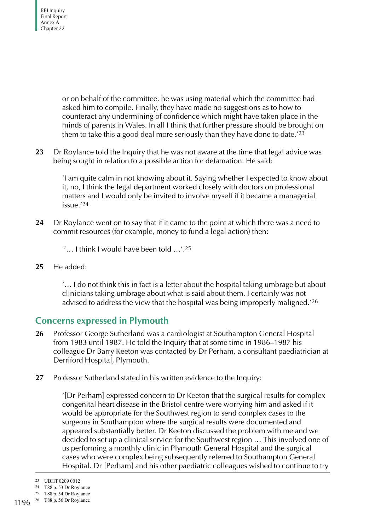or on behalf of the committee, he was using material which the committee had asked him to compile. Finally, they have made no suggestions as to how to counteract any undermining of confidence which might have taken place in the minds of parents in Wales. In all I think that further pressure should be brought on them to take this a good deal more seriously than they have done to date.'23

**23** Dr Roylance told the Inquiry that he was not aware at the time that legal advice was being sought in relation to a possible action for defamation. He said:

'I am quite calm in not knowing about it. Saying whether I expected to know about it, no, I think the legal department worked closely with doctors on professional matters and I would only be invited to involve myself if it became a managerial issue.'24

**24** Dr Roylance went on to say that if it came to the point at which there was a need to commit resources (for example, money to fund a legal action) then:

'… I think I would have been told …'.25

**25** He added:

'… I do not think this in fact is a letter about the hospital taking umbrage but about clinicians taking umbrage about what is said about them. I certainly was not advised to address the view that the hospital was being improperly maligned.'26

#### <span id="page-9-0"></span>**Concerns expressed in Plymouth**

- **26** Professor George Sutherland was a cardiologist at Southampton General Hospital from 1983 until 1987. He told the Inquiry that at some time in 1986–1987 his colleague Dr Barry Keeton was contacted by Dr Perham, a consultant paediatrician at Derriford Hospital, Plymouth.
- **27** Professor Sutherland stated in his written evidence to the Inquiry:

'[Dr Perham] expressed concern to Dr Keeton that the surgical results for complex congenital heart disease in the Bristol centre were worrying him and asked if it would be appropriate for the Southwest region to send complex cases to the surgeons in Southampton where the surgical results were documented and appeared substantially better. Dr Keeton discussed the problem with me and we decided to set up a clinical service for the Southwest region … This involved one of us performing a monthly clinic in Plymouth General Hospital and the surgical cases who were complex being subsequently referred to Southampton General Hospital. Dr [Perham] and his other paediatric colleagues wished to continue to try

<sup>23</sup> UBHT 0209 0012

<sup>24</sup> T88 p. 53 Dr Roylance

<sup>25</sup> T88 p. 54 Dr Roylance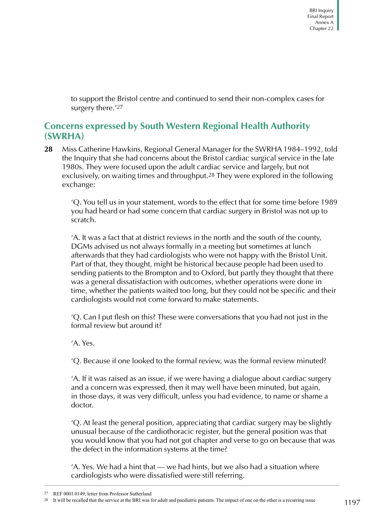to support the Bristol centre and continued to send their non-complex cases for surgery there.<sup>'27</sup>

#### <span id="page-10-0"></span>**Concerns expressed by South Western Regional Health Authority (SWRHA)**

**28** Miss Catherine Hawkins, Regional General Manager for the SWRHA 1984–1992, told the Inquiry that she had concerns about the Bristol cardiac surgical service in the late 1980s. They were focused upon the adult cardiac service and largely, but not exclusively, on waiting times and throughput.28 They were explored in the following exchange:

'Q. You tell us in your statement, words to the effect that for some time before 1989 you had heard or had some concern that cardiac surgery in Bristol was not up to scratch.

'A. It was a fact that at district reviews in the north and the south of the county, DGMs advised us not always formally in a meeting but sometimes at lunch afterwards that they had cardiologists who were not happy with the Bristol Unit. Part of that, they thought, might be historical because people had been used to sending patients to the Brompton and to Oxford, but partly they thought that there was a general dissatisfaction with outcomes, whether operations were done in time, whether the patients waited too long, but they could not be specific and their cardiologists would not come forward to make statements.

'Q. Can I put flesh on this? These were conversations that you had not just in the formal review but around it?

'A. Yes.

'Q. Because if one looked to the formal review, was the formal review minuted?

'A. If it was raised as an issue, if we were having a dialogue about cardiac surgery and a concern was expressed, then it may well have been minuted, but again, in those days, it was very difficult, unless you had evidence, to name or shame a doctor.

'Q. At least the general position, appreciating that cardiac surgery may be slightly unusual because of the cardiothoracic register, but the general position was that you would know that you had not got chapter and verse to go on because that was the defect in the information systems at the time?

'A. Yes. We had a hint that — we had hints, but we also had a situation where cardiologists who were dissatisfied were still referring.

<sup>27</sup> REF 0001 0149; letter from Professor Sutherland

<sup>&</sup>lt;sup>28</sup> It will be recalled that the service at the BRI was for adult and paediatric patients. The impact of one on the other is a recurring issue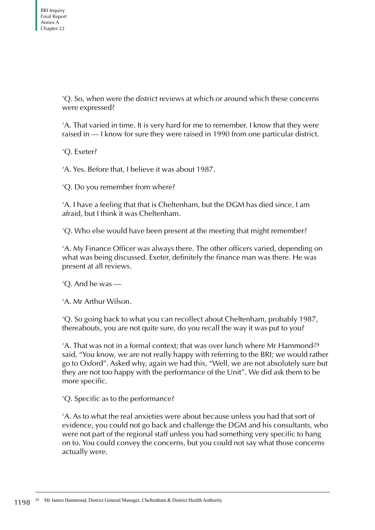'Q. So, when were the district reviews at which or around which these concerns were expressed?

'A. That varied in time. It is very hard for me to remember. I know that they were raised in — I know for sure they were raised in 1990 from one particular district.

'Q. Exeter?

'A. Yes. Before that, I believe it was about 1987.

'Q. Do you remember from where?

'A. I have a feeling that that is Cheltenham, but the DGM has died since, I am afraid, but I think it was Cheltenham.

'Q. Who else would have been present at the meeting that might remember?

'A. My Finance Officer was always there. The other officers varied, depending on what was being discussed. Exeter, definitely the finance man was there. He was present at all reviews.

'Q. And he was —

'A. Mr Arthur Wilson.

'Q. So going back to what you can recollect about Cheltenham, probably 1987, thereabouts, you are not quite sure, do you recall the way it was put to you?

'A. That was not in a formal context; that was over lunch where Mr Hammond29 said, "You know, we are not really happy with referring to the BRI; we would rather go to Oxford". Asked why, again we had this, "Well, we are not absolutely sure but they are not too happy with the performance of the Unit". We did ask them to be more specific.

'Q. Specific as to the performance?

'A. As to what the real anxieties were about because unless you had that sort of evidence, you could not go back and challenge the DGM and his consultants, who were not part of the regional staff unless you had something very specific to hang on to. You could convey the concerns, but you could not say what those concerns actually were.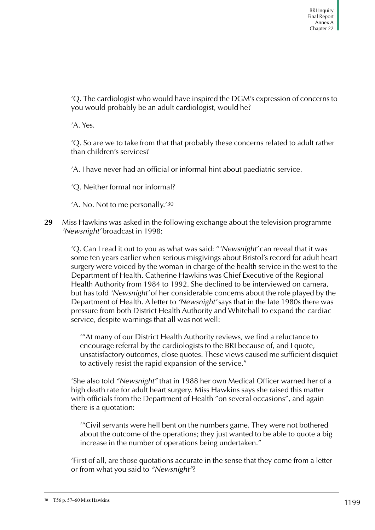'Q. The cardiologist who would have inspired the DGM's expression of concerns to you would probably be an adult cardiologist, would he?

'A. Yes.

'Q. So are we to take from that that probably these concerns related to adult rather than children's services?

'A. I have never had an official or informal hint about paediatric service.

'Q. Neither formal nor informal?

'A. No. Not to me personally.'30

**29** Miss Hawkins was asked in the following exchange about the television programme 'Newsnight' broadcast in 1998:

'Q. Can I read it out to you as what was said: "'Newsnight' can reveal that it was some ten years earlier when serious misgivings about Bristol's record for adult heart surgery were voiced by the woman in charge of the health service in the west to the Department of Health. Catherine Hawkins was Chief Executive of the Regional Health Authority from 1984 to 1992. She declined to be interviewed on camera, but has told 'Newsnight' of her considerable concerns about the role played by the Department of Health. A letter to 'Newsnight' says that in the late 1980s there was pressure from both District Health Authority and Whitehall to expand the cardiac service, despite warnings that all was not well:

'"At many of our District Health Authority reviews, we find a reluctance to encourage referral by the cardiologists to the BRI because of, and I quote, unsatisfactory outcomes, close quotes. These views caused me sufficient disquiet to actively resist the rapid expansion of the service."

'She also told "Newsnight" that in 1988 her own Medical Officer warned her of a high death rate for adult heart surgery. Miss Hawkins says she raised this matter with officials from the Department of Health "on several occasions", and again there is a quotation:

'"Civil servants were hell bent on the numbers game. They were not bothered about the outcome of the operations; they just wanted to be able to quote a big increase in the number of operations being undertaken."

'First of all, are those quotations accurate in the sense that they come from a letter or from what you said to "Newsnight"?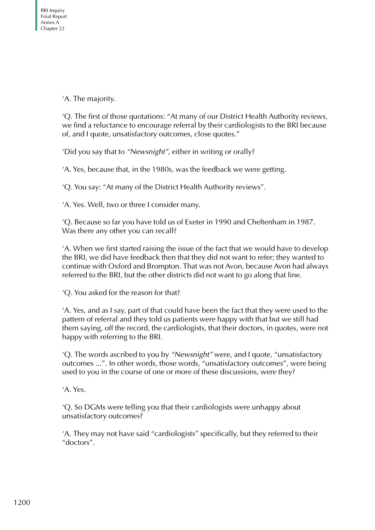'A. The majority.

'Q. The first of those quotations: "At many of our District Health Authority reviews, we find a reluctance to encourage referral by their cardiologists to the BRI because of, and I quote, unsatisfactory outcomes, close quotes."

'Did you say that to "Newsnight", either in writing or orally?

'A. Yes, because that, in the 1980s, was the feedback we were getting.

'Q. You say: "At many of the District Health Authority reviews".

'A. Yes. Well, two or three I consider many.

'Q. Because so far you have told us of Exeter in 1990 and Cheltenham in 1987. Was there any other you can recall?

'A. When we first started raising the issue of the fact that we would have to develop the BRI, we did have feedback then that they did not want to refer; they wanted to continue with Oxford and Brompton. That was not Avon, because Avon had always referred to the BRI, but the other districts did not want to go along that line.

'Q. You asked for the reason for that?

'A. Yes, and as I say, part of that could have been the fact that they were used to the pattern of referral and they told us patients were happy with that but we still had them saying, off the record, the cardiologists, that their doctors, in quotes, were not happy with referring to the BRI.

'Q. The words ascribed to you by "Newsnight" were, and I quote, "unsatisfactory outcomes ...". In other words, those words, "unsatisfactory outcomes", were being used to you in the course of one or more of these discussions, were they?

'A. Yes.

'Q. So DGMs were telling you that their cardiologists were unhappy about unsatisfactory outcomes?

'A. They may not have said "cardiologists" specifically, but they referred to their "doctors".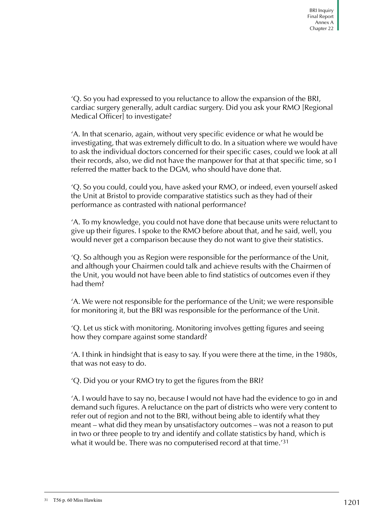'Q. So you had expressed to you reluctance to allow the expansion of the BRI, cardiac surgery generally, adult cardiac surgery. Did you ask your RMO [Regional Medical Officer] to investigate?

'A. In that scenario, again, without very specific evidence or what he would be investigating, that was extremely difficult to do. In a situation where we would have to ask the individual doctors concerned for their specific cases, could we look at all their records, also, we did not have the manpower for that at that specific time, so I referred the matter back to the DGM, who should have done that.

'Q. So you could, could you, have asked your RMO, or indeed, even yourself asked the Unit at Bristol to provide comparative statistics such as they had of their performance as contrasted with national performance?

'A. To my knowledge, you could not have done that because units were reluctant to give up their figures. I spoke to the RMO before about that, and he said, well, you would never get a comparison because they do not want to give their statistics.

'Q. So although you as Region were responsible for the performance of the Unit, and although your Chairmen could talk and achieve results with the Chairmen of the Unit, you would not have been able to find statistics of outcomes even if they had them?

'A. We were not responsible for the performance of the Unit; we were responsible for monitoring it, but the BRI was responsible for the performance of the Unit.

'Q. Let us stick with monitoring. Monitoring involves getting figures and seeing how they compare against some standard?

'A. I think in hindsight that is easy to say. If you were there at the time, in the 1980s, that was not easy to do.

'Q. Did you or your RMO try to get the figures from the BRI?

'A. I would have to say no, because I would not have had the evidence to go in and demand such figures. A reluctance on the part of districts who were very content to refer out of region and not to the BRI, without being able to identify what they meant – what did they mean by unsatisfactory outcomes – was not a reason to put in two or three people to try and identify and collate statistics by hand, which is what it would be. There was no computerised record at that time.'31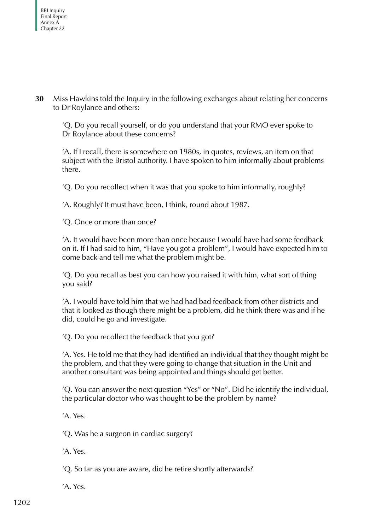**30** Miss Hawkins told the Inquiry in the following exchanges about relating her concerns to Dr Roylance and others:

'Q. Do you recall yourself, or do you understand that your RMO ever spoke to Dr Roylance about these concerns?

'A. If I recall, there is somewhere on 1980s, in quotes, reviews, an item on that subject with the Bristol authority. I have spoken to him informally about problems there.

'Q. Do you recollect when it was that you spoke to him informally, roughly?

'A. Roughly? It must have been, I think, round about 1987.

'Q. Once or more than once?

'A. It would have been more than once because I would have had some feedback on it. If I had said to him, "Have you got a problem", I would have expected him to come back and tell me what the problem might be.

'Q. Do you recall as best you can how you raised it with him, what sort of thing you said?

'A. I would have told him that we had had bad feedback from other districts and that it looked as though there might be a problem, did he think there was and if he did, could he go and investigate.

'Q. Do you recollect the feedback that you got?

'A. Yes. He told me that they had identified an individual that they thought might be the problem, and that they were going to change that situation in the Unit and another consultant was being appointed and things should get better.

'Q. You can answer the next question "Yes" or "No". Did he identify the individual, the particular doctor who was thought to be the problem by name?

'A. Yes.

'Q. Was he a surgeon in cardiac surgery?

'A. Yes.

'Q. So far as you are aware, did he retire shortly afterwards?

'A. Yes.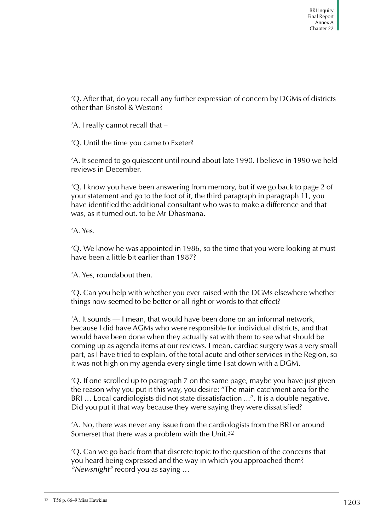'Q. After that, do you recall any further expression of concern by DGMs of districts other than Bristol & Weston?

'A. I really cannot recall that –

'Q. Until the time you came to Exeter?

'A. It seemed to go quiescent until round about late 1990. I believe in 1990 we held reviews in December.

'Q. I know you have been answering from memory, but if we go back to page 2 of your statement and go to the foot of it, the third paragraph in paragraph 11, you have identified the additional consultant who was to make a difference and that was, as it turned out, to be Mr Dhasmana.

'A. Yes.

'Q. We know he was appointed in 1986, so the time that you were looking at must have been a little bit earlier than 1987?

'A. Yes, roundabout then.

'Q. Can you help with whether you ever raised with the DGMs elsewhere whether things now seemed to be better or all right or words to that effect?

'A. It sounds — I mean, that would have been done on an informal network, because I did have AGMs who were responsible for individual districts, and that would have been done when they actually sat with them to see what should be coming up as agenda items at our reviews. I mean, cardiac surgery was a very small part, as I have tried to explain, of the total acute and other services in the Region, so it was not high on my agenda every single time I sat down with a DGM.

'Q. If one scrolled up to paragraph 7 on the same page, maybe you have just given the reason why you put it this way, you desire: "The main catchment area for the BRI … Local cardiologists did not state dissatisfaction ...". It is a double negative. Did you put it that way because they were saying they were dissatisfied?

'A. No, there was never any issue from the cardiologists from the BRI or around Somerset that there was a problem with the Unit.<sup>32</sup>

'Q. Can we go back from that discrete topic to the question of the concerns that you heard being expressed and the way in which you approached them? "Newsnight" record you as saying …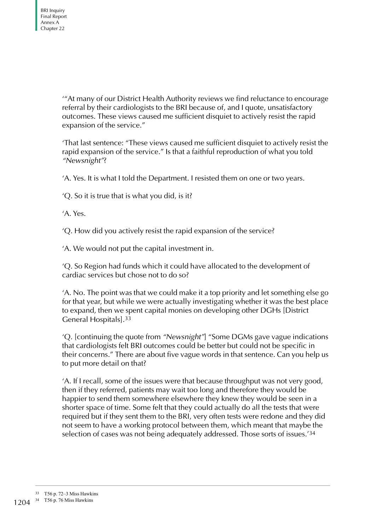'"At many of our District Health Authority reviews we find reluctance to encourage referral by their cardiologists to the BRI because of, and I quote, unsatisfactory outcomes. These views caused me sufficient disquiet to actively resist the rapid expansion of the service."

'That last sentence: "These views caused me sufficient disquiet to actively resist the rapid expansion of the service." Is that a faithful reproduction of what you told "Newsnight"?

'A. Yes. It is what I told the Department. I resisted them on one or two years.

'Q. So it is true that is what you did, is it?

'A. Yes.

'Q. How did you actively resist the rapid expansion of the service?

'A. We would not put the capital investment in.

'Q. So Region had funds which it could have allocated to the development of cardiac services but chose not to do so?

'A. No. The point was that we could make it a top priority and let something else go for that year, but while we were actually investigating whether it was the best place to expand, then we spent capital monies on developing other DGHs [District General Hospitals].33

'Q. [continuing the quote from "Newsnight"] "Some DGMs gave vague indications that cardiologists felt BRI outcomes could be better but could not be specific in their concerns." There are about five vague words in that sentence. Can you help us to put more detail on that?

'A. If I recall, some of the issues were that because throughput was not very good, then if they referred, patients may wait too long and therefore they would be happier to send them somewhere elsewhere they knew they would be seen in a shorter space of time. Some felt that they could actually do all the tests that were required but if they sent them to the BRI, very often tests were redone and they did not seem to have a working protocol between them, which meant that maybe the selection of cases was not being adequately addressed. Those sorts of issues.'34

<sup>33</sup> T56 p. 72–3 Miss Hawkins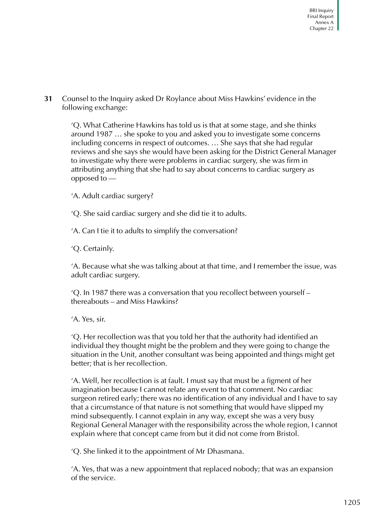**31** Counsel to the Inquiry asked Dr Roylance about Miss Hawkins' evidence in the following exchange:

'Q. What Catherine Hawkins has told us is that at some stage, and she thinks around 1987 … she spoke to you and asked you to investigate some concerns including concerns in respect of outcomes. … She says that she had regular reviews and she says she would have been asking for the District General Manager to investigate why there were problems in cardiac surgery, she was firm in attributing anything that she had to say about concerns to cardiac surgery as opposed to —

'A. Adult cardiac surgery?

'Q. She said cardiac surgery and she did tie it to adults.

'A. Can I tie it to adults to simplify the conversation?

'Q. Certainly.

'A. Because what she was talking about at that time, and I remember the issue, was adult cardiac surgery.

'Q. In 1987 there was a conversation that you recollect between yourself – thereabouts – and Miss Hawkins?

'A. Yes, sir.

'Q. Her recollection was that you told her that the authority had identified an individual they thought might be the problem and they were going to change the situation in the Unit, another consultant was being appointed and things might get better; that is her recollection.

'A. Well, her recollection is at fault. I must say that must be a figment of her imagination because I cannot relate any event to that comment. No cardiac surgeon retired early; there was no identification of any individual and I have to say that a circumstance of that nature is not something that would have slipped my mind subsequently. I cannot explain in any way, except she was a very busy Regional General Manager with the responsibility across the whole region, I cannot explain where that concept came from but it did not come from Bristol.

'Q. She linked it to the appointment of Mr Dhasmana.

'A. Yes, that was a new appointment that replaced nobody; that was an expansion of the service.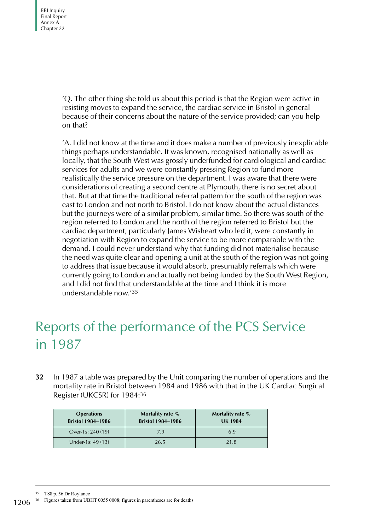'Q. The other thing she told us about this period is that the Region were active in resisting moves to expand the service, the cardiac service in Bristol in general because of their concerns about the nature of the service provided; can you help on that?

'A. I did not know at the time and it does make a number of previously inexplicable things perhaps understandable. It was known, recognised nationally as well as locally, that the South West was grossly underfunded for cardiological and cardiac services for adults and we were constantly pressing Region to fund more realistically the service pressure on the department. I was aware that there were considerations of creating a second centre at Plymouth, there is no secret about that. But at that time the traditional referral pattern for the south of the region was east to London and not north to Bristol. I do not know about the actual distances but the journeys were of a similar problem, similar time. So there was south of the region referred to London and the north of the region referred to Bristol but the cardiac department, particularly James Wisheart who led it, were constantly in negotiation with Region to expand the service to be more comparable with the demand. I could never understand why that funding did not materialise because the need was quite clear and opening a unit at the south of the region was not going to address that issue because it would absorb, presumably referrals which were currently going to London and actually not being funded by the South West Region, and I did not find that understandable at the time and I think it is more understandable now.'35

## <span id="page-19-0"></span>Reports of the performance of the PCS Service in 1987

<span id="page-19-1"></span>**32** In 1987 a table was prepared by the Unit comparing the number of operations and the mortality rate in Bristol between 1984 and 1986 with that in the UK Cardiac Surgical Register (UKCSR) for 1984:36

| <b>Operations</b><br><b>Bristol 1984-1986</b> | Mortality rate %<br><b>Bristol 1984-1986</b> | Mortality rate %<br><b>UK1984</b> |
|-----------------------------------------------|----------------------------------------------|-----------------------------------|
| Over-1s: 240 (19)                             | 7 9                                          | 6.9                               |
| Under-1s: 49 (13)                             | 26.5                                         | 21.8                              |

35 T88 p. 56 Dr Roylance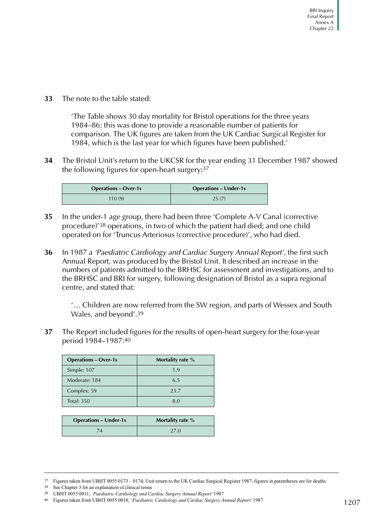**33** The note to the table stated:

'The Table shows 30 day mortality for Bristol operations for the three years 1984–86: this was done to provide a reasonable number of patients for comparison. The UK figures are taken from the UK Cardiac Surgical Register for 1984, which is the last year for which figures have been published.'

**34** The Bristol Unit's return to the UKCSR for the year ending 31 December 1987 showed the following figures for open-heart surgery:37

| <b>Operations – Over-1s</b> | <b>Operations – Under-1s</b> |
|-----------------------------|------------------------------|
| 110(9)                      | 25(7)                        |

- **35** In the under-1 age group, there had been three 'Complete A-V Canal (corrective procedure)'38 operations, in two of which the patient had died; and one child operated on for 'Truncus Arteriosus (corrective procedure)', who had died.
- **36** In 1987 a 'Paediatric Cardiology and Cardiac Surgery Annual Report', the first such Annual Report, was produced by the Bristol Unit. It described an increase in the numbers of patients admitted to the BRHSC for assessment and investigations, and to the BRHSC and BRI for surgery, following designation of Bristol as a supra regional centre, and stated that:

'… Children are now referred from the SW region, and parts of Wessex and South Wales, and beyond'.39

<span id="page-20-0"></span>**37** The Report included figures for the results of open-heart surgery for the four-year period 1984–1987:40

| <b>Operations – Over-1s</b> | Mortality rate % |
|-----------------------------|------------------|
| Simple: 107                 | 1.9              |
| Moderate: 184               | 6.5              |
| Complex: 59                 | 23.7             |
| <b>Total: 350</b>           | 8.0              |
|                             |                  |

| <b>Operations - Under-1s</b> | Mortality rate % |
|------------------------------|------------------|
|                              | 27.0             |

<sup>37</sup> Figures taken from UBHT 0055 0173 – 0174; Unit return to the UK Cardiac Surgical Register 1987; figures in parentheses are for deaths

<sup>38</sup> See Chapter 3 for an explanation of clinical terms

<sup>39</sup> UBHT 0055 0011; *'Paediatric Cardiology and Cardiac Surgery Annual Report'* 1987

<sup>40</sup> Figures taken from UBHT 0055 0018; *'Paediatric Cardiology and Cardiac Surgery Annual Report'* 1987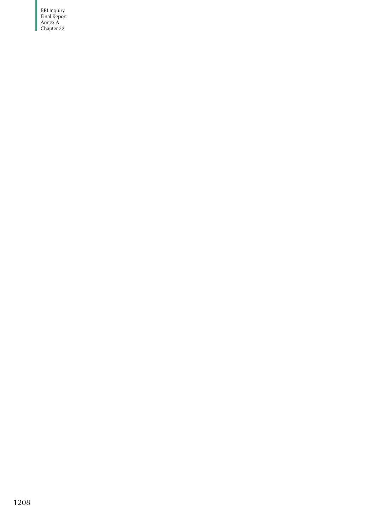BRI Inquiry Final Report Annex A Chapter 22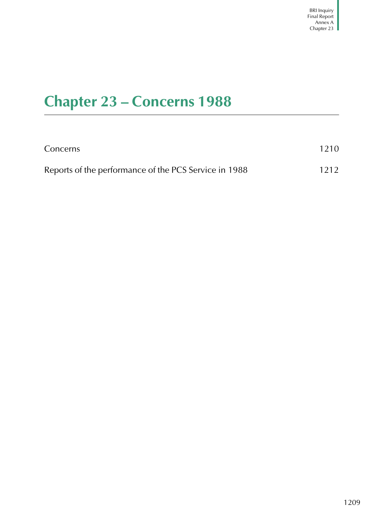# **Chapter 23 – Concerns 1988**

| Concerns                                              | 1210 |
|-------------------------------------------------------|------|
| Reports of the performance of the PCS Service in 1988 | 1212 |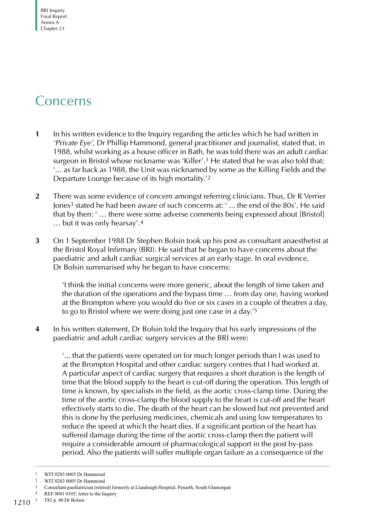BRI Inquiry Final Report Annex A Chapter 23

### <span id="page-23-0"></span>Concerns

- **1** In his written evidence to the Inquiry regarding the articles which he had written in 'Private Eye', Dr Phillip Hammond, general practitioner and journalist, stated that, in 1988, whilst working as a house officer in Bath, he was told there was an adult cardiac surgeon in Bristol whose nickname was 'Killer'.1 He stated that he was also told that: '... as far back as 1988, the Unit was nicknamed by some as the Killing Fields and the Departure Lounge because of its high mortality.'2
- **2** There was some evidence of concern amongst referring clinicians. Thus, Dr R Verrier Jones<sup>3</sup> stated he had been aware of such concerns at: '... the end of the 80s'. He said that by then: ' … there were some adverse comments being expressed about [Bristol] … but it was only hearsay'.4
- **3** On 1 September 1988 Dr Stephen Bolsin took up his post as consultant anaesthetist at the Bristol Royal Infirmary (BRI). He said that he began to have concerns about the paediatric and adult cardiac surgical services at an early stage. In oral evidence, Dr Bolsin summarised why he began to have concerns:

'I think the initial concerns were more generic, about the length of time taken and the duration of the operations and the bypass time … from day one, having worked at the Brompton where you would do five or six cases in a couple of theatres a day, to go to Bristol where we were doing just one case in a day.'5

**4** In his written statement, Dr Bolsin told the Inquiry that his early impressions of the paediatric and adult cardiac surgery services at the BRI were:

'... that the patients were operated on for much longer periods than I was used to at the Brompton Hospital and other cardiac surgery centres that I had worked at. A particular aspect of cardiac surgery that requires a short duration is the length of time that the blood supply to the heart is cut-off during the operation. This length of time is known, by specialists in the field, as the aortic cross-clamp time. During the time of the aortic cross-clamp the blood supply to the heart is cut-off and the heart effectively starts to die. The death of the heart can be slowed but not prevented and this is done by the perfusing medicines, chemicals and using low temperatures to reduce the speed at which the heart dies. If a significant portion of the heart has suffered damage during the time of the aortic cross-clamp then the patient will require a considerable amount of pharmacological support in the post by-pass period. Also the patients will suffer multiple organ failure as a consequence of the

<sup>1</sup> WIT 0283 0005 Dr Hammond

<sup>2</sup> WIT 0283 0005 Dr Hammond

<sup>3</sup> Consultant paediatrician (retired) formerly at Llandough Hospital, Penarth, South Glamorgan

<sup>4</sup> REF 0001 0105; letter to the Inquiry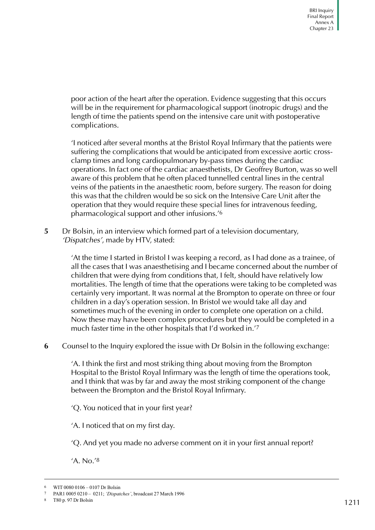poor action of the heart after the operation. Evidence suggesting that this occurs will be in the requirement for pharmacological support (inotropic drugs) and the length of time the patients spend on the intensive care unit with postoperative complications.

'I noticed after several months at the Bristol Royal Infirmary that the patients were suffering the complications that would be anticipated from excessive aortic crossclamp times and long cardiopulmonary by-pass times during the cardiac operations. In fact one of the cardiac anaesthetists, Dr Geoffrey Burton, was so well aware of this problem that he often placed tunnelled central lines in the central veins of the patients in the anaesthetic room, before surgery. The reason for doing this was that the children would be so sick on the Intensive Care Unit after the operation that they would require these special lines for intravenous feeding, pharmacological support and other infusions.'6

**5** Dr Bolsin, in an interview which formed part of a television documentary, 'Dispatches', made by HTV, stated:

> 'At the time I started in Bristol I was keeping a record, as I had done as a trainee, of all the cases that I was anaesthetising and I became concerned about the number of children that were dying from conditions that, I felt, should have relatively low mortalities. The length of time that the operations were taking to be completed was certainly very important. It was normal at the Brompton to operate on three or four children in a day's operation session. In Bristol we would take all day and sometimes much of the evening in order to complete one operation on a child. Now these may have been complex procedures but they would be completed in a much faster time in the other hospitals that I'd worked in.'7

**6** Counsel to the Inquiry explored the issue with Dr Bolsin in the following exchange:

'A. I think the first and most striking thing about moving from the Brompton Hospital to the Bristol Royal Infirmary was the length of time the operations took, and I think that was by far and away the most striking component of the change between the Brompton and the Bristol Royal Infirmary.

'Q. You noticed that in your first year?

'A. I noticed that on my first day.

'Q. And yet you made no adverse comment on it in your first annual report?

'A. No.'8

WIT 0080 0106 – 0107 Dr Bolsin

<sup>7</sup> PAR1 0005 0210 – 0211; *'Dispatches'*, broadcast 27 March 1996

<sup>8</sup> T80 p. 97 Dr Bolsin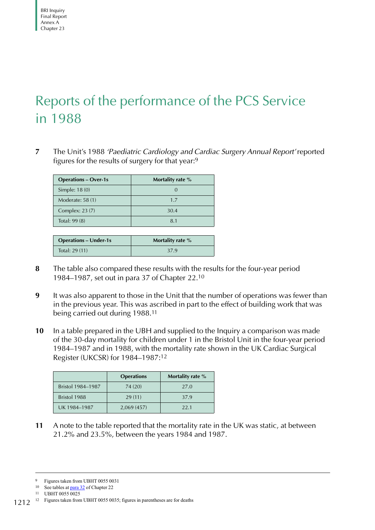## <span id="page-25-0"></span>Reports of the performance of the PCS Service in 1988

**7** The Unit's 1988 'Paediatric Cardiology and Cardiac Surgery Annual Report' reported figures for the results of surgery for that year:9

| <b>Operations - Over-1s</b> | Mortality rate % |
|-----------------------------|------------------|
| Simple: 18 (0)              |                  |
| Moderate: $58(1)$           | 1.7              |
| Complex: 23 (7)             | 30.4             |
| Total: 99 (8)               | 8.1              |
|                             |                  |

| <b>Operations – Under-1s</b> | Mortality rate % |
|------------------------------|------------------|
| Total: 29 (11)               | 37.9             |

- **8** The table also compared these results with the results for the four-year period 1984–1987, set out in [para 37](#page-20-0) of [Chapter 22](#page-0-0).10
- **9** It was also apparent to those in the Unit that the number of operations was fewer than in the previous year. This was ascribed in part to the effect of building work that was being carried out during 1988.11
- **10** In a table prepared in the UBH and supplied to the Inquiry a comparison was made of the 30-day mortality for children under 1 in the Bristol Unit in the four-year period 1984–1987 and in 1988, with the mortality rate shown in the UK Cardiac Surgical Register (UKCSR) for 1984–1987:12

|                   | <b>Operations</b> | Mortality rate % |
|-------------------|-------------------|------------------|
| Bristol 1984-1987 | 74(20)            | 27.0             |
| Bristol 1988      | 29(11)            | 37.9             |
| UK 1984-1987      | 2,069(457)        | 22.1             |

**11** A note to the table reported that the mortality rate in the UK was static, at between 21.2% and 23.5%, between the years 1984 and 1987.

- 10 See tables at [para 32](#page-19-1) of Chapter 22
- 11 UBHT 0055 0025

1212 12 Figures taken from UBHT 0055 0035; figures in parentheses are for deaths

<sup>9</sup> Figures taken from UBHT 0055 0031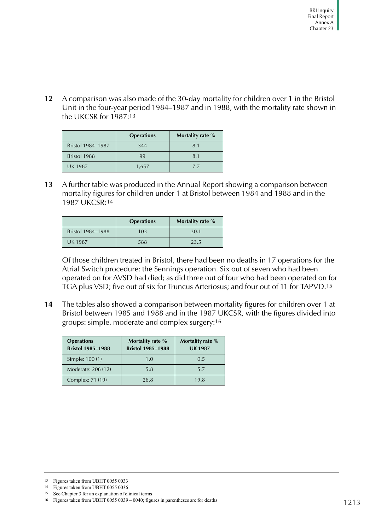**12** A comparison was also made of the 30-day mortality for children over 1 in the Bristol Unit in the four-year period 1984–1987 and in 1988, with the mortality rate shown in the UKCSR for 1987:13

|                   | <b>Operations</b> | Mortality rate % |
|-------------------|-------------------|------------------|
| Bristol 1984-1987 | 344               | 8.1              |
| Bristol 1988      | 99                | 8.1              |
| <b>UK1987</b>     | 1,657             | 7.7              |

**13** A further table was produced in the Annual Report showing a comparison between mortality figures for children under 1 at Bristol between 1984 and 1988 and in the 1987 UKCSR:14

|                   | <b>Operations</b> | Mortality rate % |
|-------------------|-------------------|------------------|
| Bristol 1984-1988 | 103               | 30.1             |
| UK 1987           | 588               | 23.5             |

Of those children treated in Bristol, there had been no deaths in 17 operations for the Atrial Switch procedure: the Sennings operation. Six out of seven who had been operated on for AVSD had died; as did three out of four who had been operated on for TGA plus VSD; five out of six for Truncus Arteriosus; and four out of 11 for TAPVD.15

**14** The tables also showed a comparison between mortality figures for children over 1 at Bristol between 1985 and 1988 and in the 1987 UKCSR, with the figures divided into groups: simple, moderate and complex surgery:16

| <b>Operations</b><br><b>Bristol 1985-1988</b> | Mortality rate %<br><b>Bristol 1985-1988</b> | Mortality rate %<br><b>UK1987</b> |
|-----------------------------------------------|----------------------------------------------|-----------------------------------|
| Simple: 100 (1)                               | 1.0                                          | 0.5                               |
| Moderate: 206 (12)                            | 5.8                                          | 5.7                               |
| Complex: 71 (19)                              | 26.8                                         | 19.8                              |

15 See Chapter 3 for an explanation of clinical terms

<sup>13</sup> Figures taken from UBHT 0055 0033

<sup>14</sup> Figures taken from UBHT 0055 0036

<sup>16</sup> Figures taken from UBHT 0055 0039 – 0040; figures in parentheses are for deaths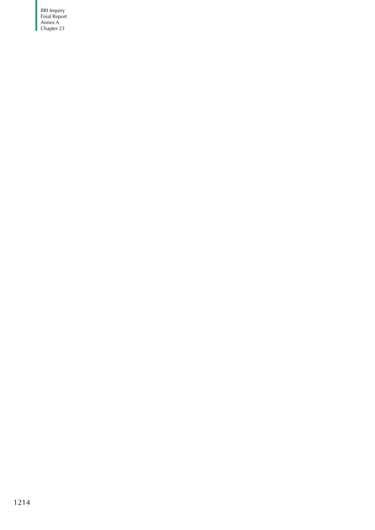BRI Inquiry Final Report Annex A Chapter 23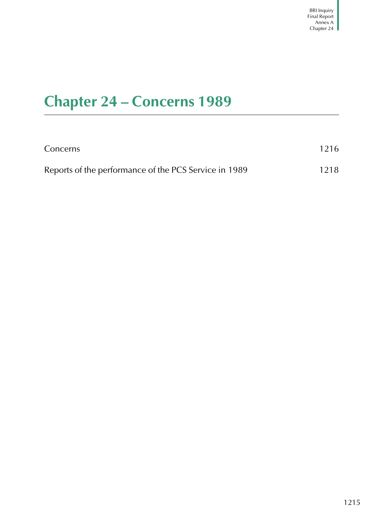# **Chapter 24 – Concerns 1989**

| Concerns                                              | 1216 |
|-------------------------------------------------------|------|
| Reports of the performance of the PCS Service in 1989 | 1218 |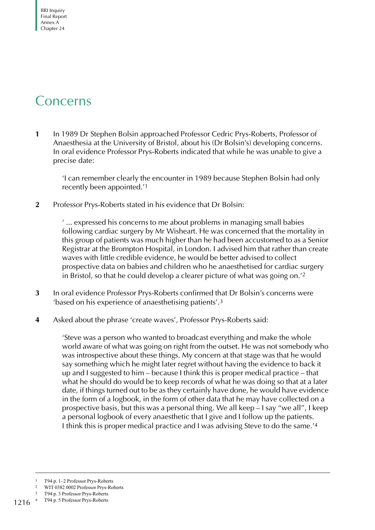### <span id="page-29-0"></span>Concerns

**1** In 1989 Dr Stephen Bolsin approached Professor Cedric Prys-Roberts, Professor of Anaesthesia at the University of Bristol, about his (Dr Bolsin's) developing concerns. In oral evidence Professor Prys-Roberts indicated that while he was unable to give a precise date:

'I can remember clearly the encounter in 1989 because Stephen Bolsin had only recently been appointed.'1

**2** Professor Prys-Roberts stated in his evidence that Dr Bolsin:

' ... expressed his concerns to me about problems in managing small babies following cardiac surgery by Mr Wisheart. He was concerned that the mortality in this group of patients was much higher than he had been accustomed to as a Senior Registrar at the Brompton Hospital, in London. I advised him that rather than create waves with little credible evidence, he would be better advised to collect prospective data on babies and children who he anaesthetised for cardiac surgery in Bristol, so that he could develop a clearer picture of what was going on.'2

- **3** In oral evidence Professor Prys-Roberts confirmed that Dr Bolsin's concerns were 'based on his experience of anaesthetising patients'.3
- **4** Asked about the phrase 'create waves', Professor Prys-Roberts said:

'Steve was a person who wanted to broadcast everything and make the whole world aware of what was going on right from the outset. He was not somebody who was introspective about these things. My concern at that stage was that he would say something which he might later regret without having the evidence to back it up and I suggested to him – because I think this is proper medical practice – that what he should do would be to keep records of what he was doing so that at a later date, if things turned out to be as they certainly have done, he would have evidence in the form of a logbook, in the form of other data that he may have collected on a prospective basis, but this was a personal thing. We all keep – I say ''we all'', I keep a personal logbook of every anaesthetic that I give and I follow up the patients. I think this is proper medical practice and I was advising Steve to do the same.'4

<sup>1</sup> T94 p. 1–2 Professor Prys-Roberts

<sup>2</sup> WIT 0382 0002 Professor Prys-Roberts

<sup>3</sup> T94 p. 3 Professor Prys-Roberts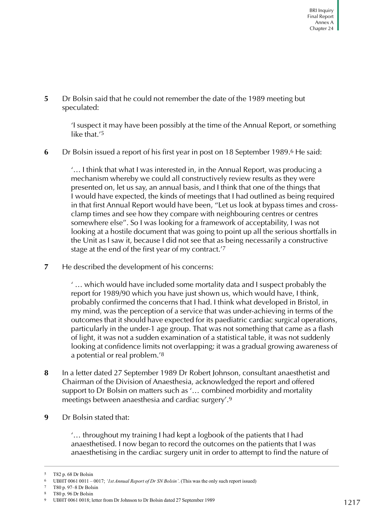**5** Dr Bolsin said that he could not remember the date of the 1989 meeting but speculated:

> 'I suspect it may have been possibly at the time of the Annual Report, or something like that.'5

**6** Dr Bolsin issued a report of his first year in post on 18 September 1989.6 He said:

'… I think that what I was interested in, in the Annual Report, was producing a mechanism whereby we could all constructively review results as they were presented on, let us say, an annual basis, and I think that one of the things that I would have expected, the kinds of meetings that I had outlined as being required in that first Annual Report would have been, ''Let us look at bypass times and crossclamp times and see how they compare with neighbouring centres or centres somewhere else''. So I was looking for a framework of acceptability, I was not looking at a hostile document that was going to point up all the serious shortfalls in the Unit as I saw it, because I did not see that as being necessarily a constructive stage at the end of the first year of my contract.'7

**7** He described the development of his concerns:

' … which would have included some mortality data and I suspect probably the report for 1989/90 which you have just shown us, which would have, I think, probably confirmed the concerns that I had. I think what developed in Bristol, in my mind, was the perception of a service that was under-achieving in terms of the outcomes that it should have expected for its paediatric cardiac surgical operations, particularly in the under-1 age group. That was not something that came as a flash of light, it was not a sudden examination of a statistical table, it was not suddenly looking at confidence limits not overlapping; it was a gradual growing awareness of a potential or real problem.'8

- **8** In a letter dated 27 September 1989 Dr Robert Johnson, consultant anaesthetist and Chairman of the Division of Anaesthesia, acknowledged the report and offered support to Dr Bolsin on matters such as '… combined morbidity and mortality meetings between anaesthesia and cardiac surgery'.9
- **9** Dr Bolsin stated that:

'… throughout my training I had kept a logbook of the patients that I had anaesthetised. I now began to record the outcomes on the patients that I was anaesthetising in the cardiac surgery unit in order to attempt to find the nature of

<sup>5</sup> T82 p. 68 Dr Bolsin

<sup>6</sup> UBHT 0061 0011 – 0017; *'1st Annual Report of Dr SN Bolsin'*. (This was the only such report issued)

<sup>7</sup> T80 p. 97–8 Dr Bolsin

<sup>8</sup> T80 p. 96 Dr Bolsin

<sup>9</sup> UBHT 0061 0018; letter from Dr Johnson to Dr Bolsin dated 27 September 1989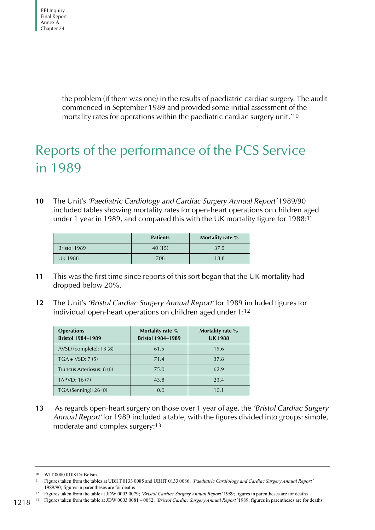the problem (if there was one) in the results of paediatric cardiac surgery. The audit commenced in September 1989 and provided some initial assessment of the mortality rates for operations within the paediatric cardiac surgery unit.'10

## <span id="page-31-0"></span>Reports of the performance of the PCS Service in 1989

**10** The Unit's 'Paediatric Cardiology and Cardiac Surgery Annual Report' 1989/90 included tables showing mortality rates for open-heart operations on children aged under 1 year in 1989, and compared this with the UK mortality figure for 1988:11

|               | <b>Patients</b> | Mortality rate % |
|---------------|-----------------|------------------|
| Bristol 1989  | 40(15)          | 37.5             |
| <b>UK1988</b> | 708             | 18.8             |

- **11** This was the first time since reports of this sort began that the UK mortality had dropped below 20%.
- **12** The Unit's 'Bristol Cardiac Surgery Annual Report' for 1989 included figures for individual open-heart operations on children aged under 1:12

| <b>Operations</b><br><b>Bristol 1984-1989</b> | Mortality rate %<br><b>Bristol 1984-1989</b> | Mortality rate %<br><b>UK1988</b> |
|-----------------------------------------------|----------------------------------------------|-----------------------------------|
| AVSD (complete): 13 (8)                       | 61.5                                         | 19.6                              |
| $TGA + VSD: 7(5)$                             | 71.4                                         | 37.8                              |
| Truncus Arteriosus: 8 (6)                     | 75.0                                         | 62.9                              |
| <b>TAPVD: 16 (7)</b>                          | 43.8                                         | 23.4                              |
| $TGA$ (Senning): 26 (0)                       | 0.0                                          | 10.1                              |

**13** As regards open-heart surgery on those over 1 year of age, the 'Bristol Cardiac Surgery Annual Report' for 1989 included a table, with the figures divided into groups: simple, moderate and complex surgery:13

<sup>10</sup> WIT 0080 0108 Dr Bolsin

<sup>11</sup> Figures taken from the tables at UBHT 0133 0085 and UBHT 0133 0086; *'Paediatric Cardiology and Cardiac Surgery Annual Report'*  1989/90; figures in parentheses are for deaths

<sup>12</sup> Figures taken from the table at JDW 0003 0079; *'Bristol Cardiac Surgery Annual Report'* 1989; figures in parentheses are for deaths

<sup>13</sup> Figures taken from the table at JDW 0003 0081 – 0082; *'Bristol Cardiac Surgery Annual Report'* 1989; figures in parentheses are for deaths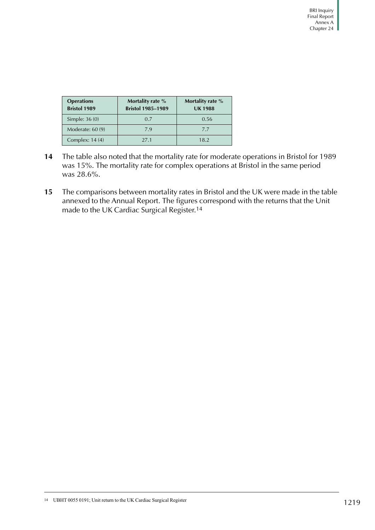| <b>Operations</b><br><b>Bristol 1989</b> | Mortality rate %<br><b>Bristol 1985-1989</b> | Mortality rate %<br><b>UK1988</b> |
|------------------------------------------|----------------------------------------------|-----------------------------------|
| Simple: $36(0)$                          | 0.7                                          | 0.56                              |
| Moderate: 60 (9)                         | 7.9                                          | 77                                |
| Complex: $14(4)$                         | 27.1                                         | 18.2                              |

- **14** The table also noted that the mortality rate for moderate operations in Bristol for 1989 was 15%. The mortality rate for complex operations at Bristol in the same period was 28.6%.
- **15** The comparisons between mortality rates in Bristol and the UK were made in the table annexed to the Annual Report. The figures correspond with the returns that the Unit made to the UK Cardiac Surgical Register.14